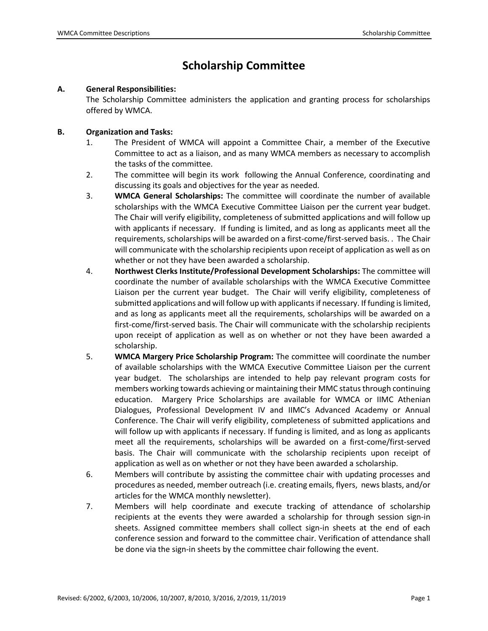## **Scholarship Committee**

## **A. General Responsibilities:**

The Scholarship Committee administers the application and granting process for scholarships offered by WMCA.

## **B. Organization and Tasks:**

- 1. The President of WMCA will appoint a Committee Chair, a member of the Executive Committee to act as a liaison, and as many WMCA members as necessary to accomplish the tasks of the committee.
- 2. The committee will begin its work following the Annual Conference, coordinating and discussing its goals and objectives for the year as needed.
- 3. **WMCA General Scholarships:** The committee will coordinate the number of available scholarships with the WMCA Executive Committee Liaison per the current year budget. The Chair will verify eligibility, completeness of submitted applications and will follow up with applicants if necessary. If funding is limited, and as long as applicants meet all the requirements, scholarships will be awarded on a first-come/first-served basis. . The Chair will communicate with the scholarship recipients upon receipt of application as well as on whether or not they have been awarded a scholarship.
- 4. **Northwest Clerks Institute/Professional Development Scholarships:** The committee will coordinate the number of available scholarships with the WMCA Executive Committee Liaison per the current year budget. The Chair will verify eligibility, completeness of submitted applications and will follow up with applicants if necessary. If funding is limited, and as long as applicants meet all the requirements, scholarships will be awarded on a first-come/first-served basis. The Chair will communicate with the scholarship recipients upon receipt of application as well as on whether or not they have been awarded a scholarship.
- 5. **WMCA Margery Price Scholarship Program:** The committee will coordinate the number of available scholarships with the WMCA Executive Committee Liaison per the current year budget. The scholarships are intended to help pay relevant program costs for members working towards achieving or maintaining their MMC status through continuing education. Margery Price Scholarships are available for WMCA or IIMC Athenian Dialogues, Professional Development IV and IIMC's Advanced Academy or Annual Conference. The Chair will verify eligibility, completeness of submitted applications and will follow up with applicants if necessary. If funding is limited, and as long as applicants meet all the requirements, scholarships will be awarded on a first-come/first-served basis. The Chair will communicate with the scholarship recipients upon receipt of application as well as on whether or not they have been awarded a scholarship.
- 6. Members will contribute by assisting the committee chair with updating processes and procedures as needed, member outreach (i.e. creating emails, flyers, news blasts, and/or articles for the WMCA monthly newsletter).
- 7. Members will help coordinate and execute tracking of attendance of scholarship recipients at the events they were awarded a scholarship for through session sign-in sheets. Assigned committee members shall collect sign-in sheets at the end of each conference session and forward to the committee chair. Verification of attendance shall be done via the sign-in sheets by the committee chair following the event.